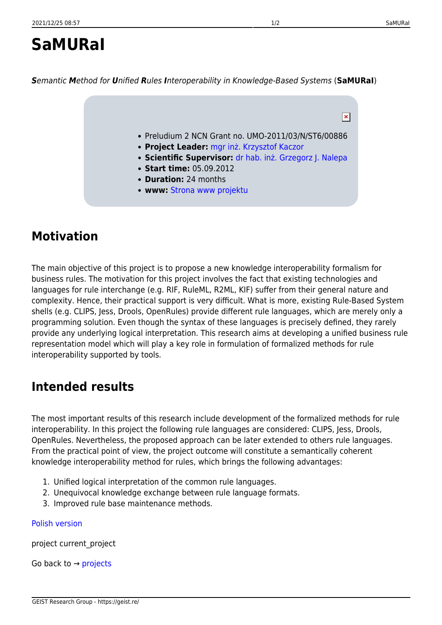## **SaMURaI**

*S*emantic *M*ethod for *U*nified *R*ules *I*nteroperability in Knowledge-Based Systems (**SaMURaI**)

- Preludium 2 NCN Grant no. UMO-2011/03/N/ST6/00886
- **Project Leader:** [mgr inż. Krzysztof Kaczor](https://geist.re/pub:about_us:kkr)
- **Scientific Supervisor:** [dr hab. inż. Grzegorz J. Nalepa](https://geist.re/pub:about_us:gjn)
- **Start time:** 05.09.2012
- **Duration:** 24 months
- **www:** [Strona www projektu](http://home.agh.edu.pl/~kk/doku.php?id=others:samurai:start)

## **Motivation**

The main objective of this project is to propose a new knowledge interoperability formalism for business rules. The motivation for this project involves the fact that existing technologies and languages for rule interchange (e.g. RIF, RuleML, R2ML, KIF) suffer from their general nature and complexity. Hence, their practical support is very difficult. What is more, existing Rule-Based System shells (e.g. CLIPS, Jess, Drools, OpenRules) provide different rule languages, which are merely only a programming solution. Even though the syntax of these languages is precisely defined, they rarely provide any underlying logical interpretation. This research aims at developing a unified business rule representation model which will play a key role in formulation of formalized methods for rule interoperability supported by tools.

## **Intended results**

The most important results of this research include development of the formalized methods for rule interoperability. In this project the following rule languages are considered: CLIPS, Jess, Drools, OpenRules. Nevertheless, the proposed approach can be later extended to others rule languages. From the practical point of view, the project outcome will constitute a semantically coherent knowledge interoperability method for rules, which brings the following advantages:

- 1. Unified logical interpretation of the common rule languages.
- 2. Unequivocal knowledge exchange between rule language formats.
- 3. Improved rule base maintenance methods.

## [Polish version](https://geist.re/pub:projects:samurai:startpl)

project current\_project

Go back to  $\rightarrow$  [projects](#page--1-0)

 $\pmb{\times}$